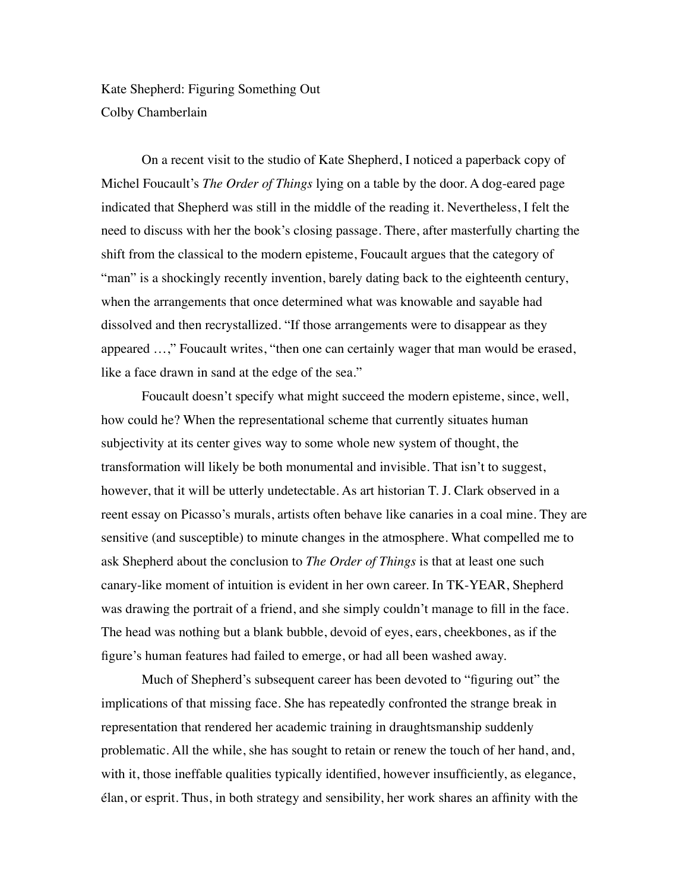Kate Shepherd: Figuring Something Out Colby Chamberlain

On a recent visit to the studio of Kate Shepherd, I noticed a paperback copy of Michel Foucault's *The Order of Things* lying on a table by the door. A dog-eared page indicated that Shepherd was still in the middle of the reading it. Nevertheless, I felt the need to discuss with her the book's closing passage. There, after masterfully charting the shift from the classical to the modern episteme, Foucault argues that the category of "man" is a shockingly recently invention, barely dating back to the eighteenth century, when the arrangements that once determined what was knowable and sayable had dissolved and then recrystallized. "If those arrangements were to disappear as they appeared …," Foucault writes, "then one can certainly wager that man would be erased, like a face drawn in sand at the edge of the sea."

Foucault doesn't specify what might succeed the modern episteme, since, well, how could he? When the representational scheme that currently situates human subjectivity at its center gives way to some whole new system of thought, the transformation will likely be both monumental and invisible. That isn't to suggest, however, that it will be utterly undetectable. As art historian T. J. Clark observed in a reent essay on Picasso's murals, artists often behave like canaries in a coal mine. They are sensitive (and susceptible) to minute changes in the atmosphere. What compelled me to ask Shepherd about the conclusion to *The Order of Things* is that at least one such canary-like moment of intuition is evident in her own career. In TK-YEAR, Shepherd was drawing the portrait of a friend, and she simply couldn't manage to fill in the face. The head was nothing but a blank bubble, devoid of eyes, ears, cheekbones, as if the figure's human features had failed to emerge, or had all been washed away.

Much of Shepherd's subsequent career has been devoted to "figuring out" the implications of that missing face. She has repeatedly confronted the strange break in representation that rendered her academic training in draughtsmanship suddenly problematic. All the while, she has sought to retain or renew the touch of her hand, and, with it, those ineffable qualities typically identified, however insufficiently, as elegance, élan, or esprit. Thus, in both strategy and sensibility, her work shares an affinity with the